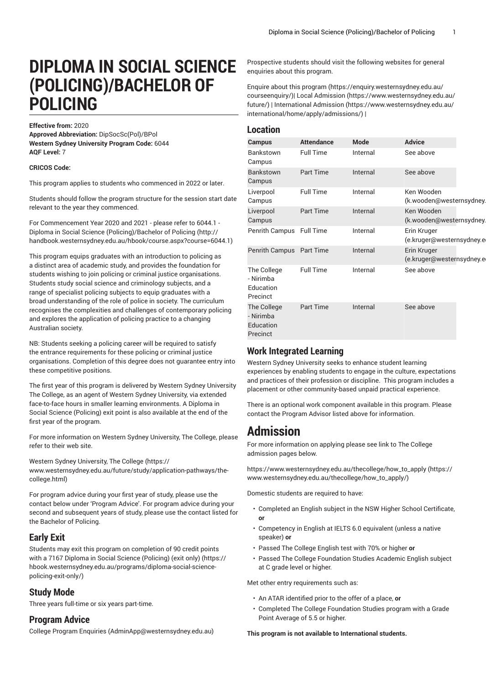# **DIPLOMA IN SOCIAL SCIENCE (POLICING)/BACHELOR OF POLICING**

#### **Effective from:** 2020

**Approved Abbreviation:** DipSocSc(Pol)/BPol **Western Sydney University Program Code:** 6044 **AQF Level:** 7

#### **CRICOS Code:**

This program applies to students who commenced in 2022 or later.

Students should follow the program structure for the session start date relevant to the year they commenced.

For [Commencement](http://handbook.westernsydney.edu.au/hbook/course.aspx?course=6044.1) Year 2020 and 2021 - please refer to 6044.1 - Diploma in Social Science [\(Policing\)/Bachelor](http://handbook.westernsydney.edu.au/hbook/course.aspx?course=6044.1) of Policing [\(http://](http://handbook.westernsydney.edu.au/hbook/course.aspx?course=6044.1) [handbook.westernsydney.edu.au/hbook/course.aspx?course=6044.1\)](http://handbook.westernsydney.edu.au/hbook/course.aspx?course=6044.1)

This program equips graduates with an introduction to policing as a distinct area of academic study, and provides the foundation for students wishing to join policing or criminal justice organisations. Students study social science and criminology subjects, and a range of specialist policing subjects to equip graduates with a broad understanding of the role of police in society. The curriculum recognises the complexities and challenges of contemporary policing and explores the application of policing practice to a changing Australian society.

NB: Students seeking a policing career will be required to satisfy the entrance requirements for these policing or criminal justice organisations. Completion of this degree does not guarantee entry into these competitive positions.

The first year of this program is delivered by Western Sydney University The College, as an agent of Western Sydney University, via extended face-to-face hours in smaller learning environments. A Diploma in Social Science (Policing) exit point is also available at the end of the first year of the program.

For more information on Western Sydney University, The College, please refer to their web site.

Western Sydney [University,](https://www.westernsydney.edu.au/future/study/application-pathways/the-college.html) The College [\(https://](https://www.westernsydney.edu.au/future/study/application-pathways/the-college.html) [www.westernsydney.edu.au/future/study/application-pathways/the](https://www.westernsydney.edu.au/future/study/application-pathways/the-college.html)[college.html](https://www.westernsydney.edu.au/future/study/application-pathways/the-college.html))

For program advice during your first year of study, please use the contact below under 'Program Advice'. For program advice during your second and subsequent years of study, please use the contact listed for the Bachelor of Policing.

### **Early Exit**

Students may exit this program on completion of 90 credit points with a 7167 Diploma in Social Science [\(Policing\)](https://hbook.westernsydney.edu.au/programs/diploma-social-science-policing-exit-only/) (exit only) ([https://](https://hbook.westernsydney.edu.au/programs/diploma-social-science-policing-exit-only/) [hbook.westernsydney.edu.au/programs/diploma-social-science](https://hbook.westernsydney.edu.au/programs/diploma-social-science-policing-exit-only/)[policing-exit-only/](https://hbook.westernsydney.edu.au/programs/diploma-social-science-policing-exit-only/))

### **Study Mode**

Three years full-time or six years part-time.

### **Program Advice**

College Program [Enquiries](mailto:AdminApp@westernsydney.edu.au) (<AdminApp@westernsydney.edu.au>)

Prospective students should visit the following websites for general enquiries about this program.

Enquire about this [program](https://enquiry.westernsydney.edu.au/courseenquiry/) ([https://enquiry.westernsydney.edu.au/](https://enquiry.westernsydney.edu.au/courseenquiry/) [courseenquiry/\)](https://enquiry.westernsydney.edu.au/courseenquiry/)| [Local Admission](https://www.westernsydney.edu.au/future/) ([https://www.westernsydney.edu.au/](https://www.westernsydney.edu.au/future/) [future/](https://www.westernsydney.edu.au/future/)) | [International Admission \(https://www.westernsydney.edu.au/](https://www.westernsydney.edu.au/international/home/apply/admissions/) [international/home/apply/admissions/](https://www.westernsydney.edu.au/international/home/apply/admissions/)) |

### **Location**

| Campus                                            | <b>Attendance</b> | <b>Mode</b> | <b>Advice</b>                            |  |
|---------------------------------------------------|-------------------|-------------|------------------------------------------|--|
| <b>Bankstown</b><br>Campus                        | <b>Full Time</b>  | Internal    | See above                                |  |
| <b>Bankstown</b><br>Campus                        | <b>Part Time</b>  | Internal    | See above                                |  |
| Liverpool<br>Campus                               | <b>Full Time</b>  | Internal    | Ken Wooden<br>(k.wooden@westernsydney.   |  |
| Liverpool<br>Campus                               | <b>Part Time</b>  | Internal    | Ken Wooden<br>(k.wooden@westernsydney.   |  |
| Penrith Campus                                    | <b>Full Time</b>  | Internal    | Erin Kruger<br>(e.kruger@westernsydney.e |  |
| Penrith Campus Part Time                          |                   | Internal    | Erin Kruger<br>(e.kruger@westernsydney.e |  |
| The College<br>- Nirimba<br>Education<br>Precinct | <b>Full Time</b>  | Internal    | See above                                |  |
| The College<br>- Nirimba<br>Education<br>Precinct | Part Time         | Internal    | See above                                |  |

### **Work Integrated Learning**

Western Sydney University seeks to enhance student learning experiences by enabling students to engage in the culture, expectations and practices of their profession or discipline. This program includes a placement or other community-based unpaid practical experience.

There is an optional work component available in this program. Please contact the Program Advisor listed above for information.

# **Admission**

For more information on applying please see link to The College admission pages below.

[https://www.westernsydney.edu.au/thecollege/how\\_to\\_apply \(https://](https://www.westernsydney.edu.au/thecollege/how_to_apply/) [www.westernsydney.edu.au/thecollege/how\\_to\\_apply/\)](https://www.westernsydney.edu.au/thecollege/how_to_apply/)

Domestic students are required to have:

- Completed an English subject in the NSW Higher School Certificate, **or**
- Competency in English at IELTS 6.0 equivalent (unless a native speaker) **or**
- Passed The College English test with 70% or higher **or**
- Passed The College Foundation Studies Academic English subject at C grade level or higher.

Met other entry requirements such as:

- An ATAR identified prior to the offer of a place, **or**
- Completed The College Foundation Studies program with a Grade Point Average of 5.5 or higher.

**This program is not available to International students.**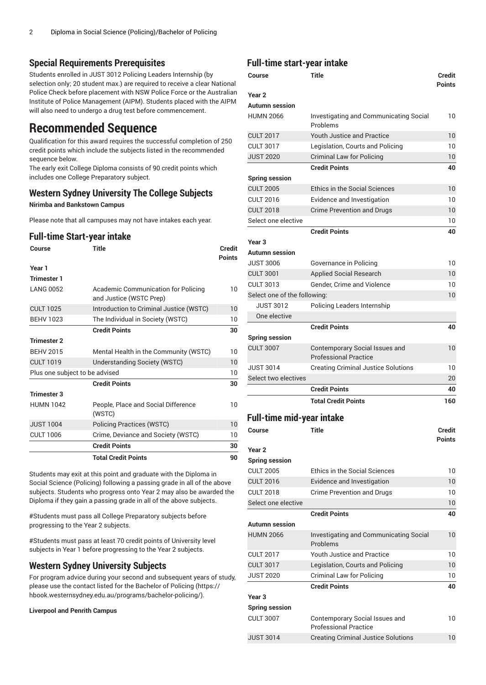### **Special Requirements Prerequisites**

Students enrolled in JUST 3012 Policing Leaders Internship (by selection only; 20 student max.) are required to receive a clear National Police Check before placement with NSW Police Force or the Australian Institute of Police Management (AIPM). Students placed with the AIPM will also need to undergo a drug test before commencement.

## **Recommended Sequence**

Qualification for this award requires the successful completion of 250 credit points which include the subjects listed in the recommended sequence below.

The early exit College Diploma consists of 90 credit points which includes one College Preparatory subject.

### **Western Sydney University The College Subjects**

**Nirimba and Bankstown Campus**

Please note that all campuses may not have intakes each year.

### **Full-time Start-year intake**

| Course                         | Title                                                          | Credit<br><b>Points</b> |
|--------------------------------|----------------------------------------------------------------|-------------------------|
| Year 1                         |                                                                |                         |
| <b>Trimester 1</b>             |                                                                |                         |
| <b>LANG 0052</b>               | Academic Communication for Policing<br>and Justice (WSTC Prep) | 10                      |
| <b>CULT 1025</b>               | Introduction to Criminal Justice (WSTC)                        | 10                      |
| <b>BEHV 1023</b>               | The Individual in Society (WSTC)                               | 10                      |
|                                | <b>Credit Points</b>                                           | 30                      |
| Trimester 2                    |                                                                |                         |
| <b>BEHV 2015</b>               | Mental Health in the Community (WSTC)                          | 10                      |
| <b>CULT 1019</b>               | <b>Understanding Society (WSTC)</b>                            | 10                      |
| Plus one subject to be advised |                                                                | 10                      |
|                                | <b>Credit Points</b>                                           | 30                      |
| <b>Trimester 3</b>             |                                                                |                         |
| <b>HUMN 1042</b>               | People, Place and Social Difference<br>(WSTC)                  | 10                      |
| <b>JUST 1004</b>               | <b>Policing Practices (WSTC)</b>                               | 10                      |
| <b>CULT 1006</b>               | Crime, Deviance and Society (WSTC)                             | 10                      |
|                                | <b>Credit Points</b>                                           | 30                      |
|                                | <b>Total Credit Points</b>                                     | 90                      |

Students may exit at this point and graduate with the Diploma in Social Science (Policing) following a passing grade in all of the above subjects. Students who progress onto Year 2 may also be awarded the Diploma if they gain a passing grade in all of the above subjects.

#Students must pass all College Preparatory subjects before progressing to the Year 2 subjects.

#Students must pass at least 70 credit points of University level subjects in Year 1 before progressing to the Year 2 subjects.

### **Western Sydney University Subjects**

For program advice during your second and subsequent years of study, please use the contact listed for the [Bachelor](https://hbook.westernsydney.edu.au/programs/bachelor-policing/) of Policing [\(https://](https://hbook.westernsydney.edu.au/programs/bachelor-policing/) [hbook.westernsydney.edu.au/programs/bachelor-policing/\)](https://hbook.westernsydney.edu.au/programs/bachelor-policing/).

**Liverpool and Penrith Campus**

### **Full-time start-year intake**

| Course                             | Title                                                          | Credit<br><b>Points</b> |
|------------------------------------|----------------------------------------------------------------|-------------------------|
| Year <sub>2</sub>                  |                                                                |                         |
| <b>Autumn</b> session              |                                                                |                         |
| <b>HUMN 2066</b>                   | <b>Investigating and Communicating Social</b><br>Problems      |                         |
| <b>CULT 2017</b>                   | Youth Justice and Practice                                     | 10                      |
| <b>CULT 3017</b>                   | Legislation, Courts and Policing                               | 10                      |
| <b>JUST 2020</b>                   | <b>Criminal Law for Policing</b>                               | 10                      |
|                                    | <b>Credit Points</b>                                           | 40                      |
| <b>Spring session</b>              |                                                                |                         |
| <b>CULT 2005</b>                   | <b>Ethics in the Social Sciences</b>                           | 10                      |
| <b>CULT 2016</b>                   | Evidence and Investigation                                     | 10                      |
| <b>CULT 2018</b>                   | <b>Crime Prevention and Drugs</b>                              | 10                      |
| Select one elective                |                                                                | 10                      |
|                                    | <b>Credit Points</b>                                           | 40                      |
| Year <sub>3</sub>                  |                                                                |                         |
| Autumn session                     |                                                                |                         |
| <b>JUST 3006</b>                   | Governance in Policing                                         | 10                      |
| <b>CULT 3001</b>                   | <b>Applied Social Research</b>                                 | 10                      |
| <b>CULT 3013</b>                   | <b>Gender, Crime and Violence</b>                              | 10                      |
| Select one of the following:       |                                                                | 10                      |
| <b>JUST 3012</b>                   | Policing Leaders Internship                                    |                         |
| One elective                       |                                                                |                         |
|                                    | <b>Credit Points</b>                                           | 40                      |
| <b>Spring session</b>              |                                                                |                         |
| <b>CULT 3007</b>                   | Contemporary Social Issues and<br><b>Professional Practice</b> | 10                      |
| <b>JUST 3014</b>                   | <b>Creating Criminal Justice Solutions</b>                     | 10                      |
| Select two electives               |                                                                | 20                      |
|                                    | <b>Credit Points</b>                                           | 40                      |
|                                    | <b>Total Credit Points</b>                                     | 160                     |
|                                    |                                                                |                         |
| Full-time mid-year intake          |                                                                |                         |
| Course                             | <b>Title</b>                                                   | <b>Credit</b>           |
|                                    |                                                                | <b>Points</b>           |
| Year <sub>2</sub>                  |                                                                |                         |
| <b>Spring session</b>              |                                                                |                         |
| <b>CULT 2005</b>                   | <b>Ethics in the Social Sciences</b>                           | 10                      |
| <b>CULT 2016</b>                   | Evidence and Investigation                                     | 10                      |
| <b>CULT 2018</b>                   | Crime Prevention and Drugs                                     | 10                      |
| Select one elective                | <b>Credit Points</b>                                           | 10                      |
|                                    |                                                                | 40                      |
| Autumn session<br><b>HUMN 2066</b> |                                                                | 10                      |
|                                    | Investigating and Communicating Social<br>Problems             |                         |
| <b>CULT 2017</b>                   | <b>Youth Justice and Practice</b>                              | 10                      |
| <b>CULT 3017</b>                   | Legislation, Courts and Policing                               | 10                      |
| <b>JUST 2020</b>                   | Criminal Law for Policing                                      | 10                      |
|                                    | <b>Credit Points</b>                                           | 40                      |
| Year <sub>3</sub>                  |                                                                |                         |
| <b>Spring session</b>              |                                                                |                         |
| <b>CULT 3007</b>                   | Contemporary Social Issues and                                 | 10                      |
|                                    | <b>Professional Practice</b>                                   |                         |
| <b>JUST 3014</b>                   | <b>Creating Criminal Justice Solutions</b>                     | 10                      |